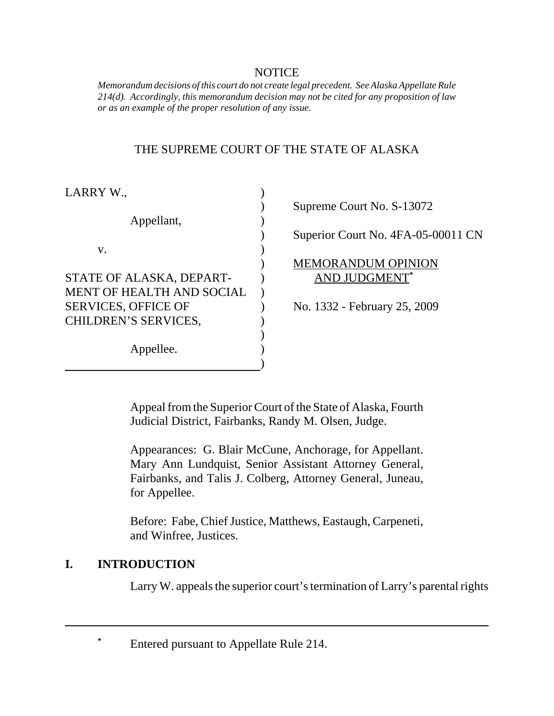#### NOTICE

*Memorandum decisions of this court do not create legal precedent. See Alaska Appellate Rule 214(d). Accordingly, this memorandum decision may not be cited for any proposition of law or as an example of the proper resolution of any issue.* 

#### THE SUPREME COURT OF THE STATE OF ALASKA

| LARRY W.,                        |                                    |
|----------------------------------|------------------------------------|
|                                  | Supreme Court No. S-13072          |
| Appellant,                       |                                    |
|                                  | Superior Court No. 4FA-05-00011 CN |
| V.                               |                                    |
|                                  | <b>MEMORANDUM OPINION</b>          |
| STATE OF ALASKA, DEPART-         | <b>AND JUDGMENT*</b>               |
| <b>MENT OF HEALTH AND SOCIAL</b> |                                    |
| <b>SERVICES, OFFICE OF</b>       | No. 1332 - February 25, 2009       |
| CHILDREN'S SERVICES,             |                                    |
|                                  |                                    |
| Appellee.                        |                                    |
|                                  |                                    |

Appeal from the Superior Court of the State of Alaska, Fourth Judicial District, Fairbanks, Randy M. Olsen, Judge.

Appearances: G. Blair McCune, Anchorage, for Appellant. Mary Ann Lundquist, Senior Assistant Attorney General, Fairbanks, and Talis J. Colberg, Attorney General, Juneau, for Appellee.

Before: Fabe, Chief Justice, Matthews, Eastaugh, Carpeneti, and Winfree, Justices.

# **I. INTRODUCTION**

Larry W. appeals the superior court's termination of Larry's parental rights

**\*** Entered pursuant to Appellate Rule 214.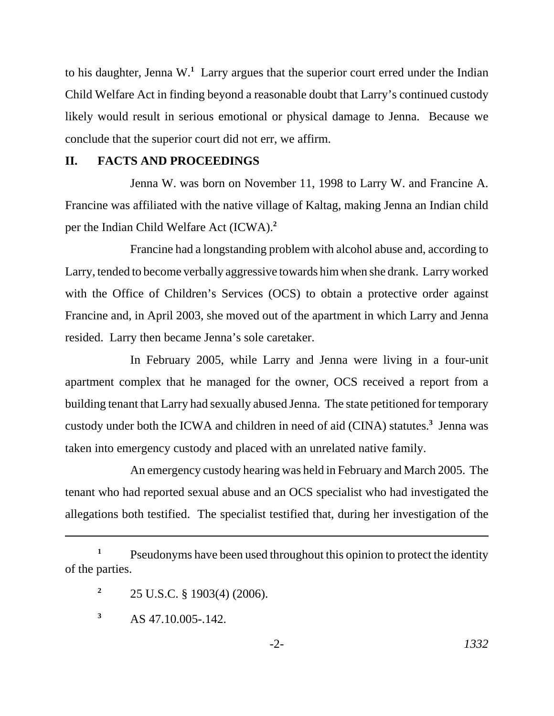to his daughter, Jenna W.**<sup>1</sup>** Larry argues that the superior court erred under the Indian Child Welfare Act in finding beyond a reasonable doubt that Larry's continued custody likely would result in serious emotional or physical damage to Jenna. Because we conclude that the superior court did not err, we affirm.

#### **II. FACTS AND PROCEEDINGS**

Jenna W. was born on November 11, 1998 to Larry W. and Francine A. Francine was affiliated with the native village of Kaltag, making Jenna an Indian child per the Indian Child Welfare Act (ICWA).**<sup>2</sup>**

Francine had a longstanding problem with alcohol abuse and, according to Larry, tended to become verbally aggressive towards him when she drank. Larry worked with the Office of Children's Services (OCS) to obtain a protective order against Francine and, in April 2003, she moved out of the apartment in which Larry and Jenna resided. Larry then became Jenna's sole caretaker.

In February 2005, while Larry and Jenna were living in a four-unit apartment complex that he managed for the owner, OCS received a report from a building tenant that Larry had sexually abused Jenna. The state petitioned for temporary custody under both the ICWA and children in need of aid (CINA) statutes.**<sup>3</sup>** Jenna was taken into emergency custody and placed with an unrelated native family.

An emergency custody hearing was held in February and March 2005. The tenant who had reported sexual abuse and an OCS specialist who had investigated the allegations both testified. The specialist testified that, during her investigation of the

<sup>1</sup> Pseudonyms have been used throughout this opinion to protect the identity of the parties.

**<sup>2</sup>** 25 U.S.C. § 1903(4) (2006).

**<sup>3</sup>** AS 47.10.005-.142.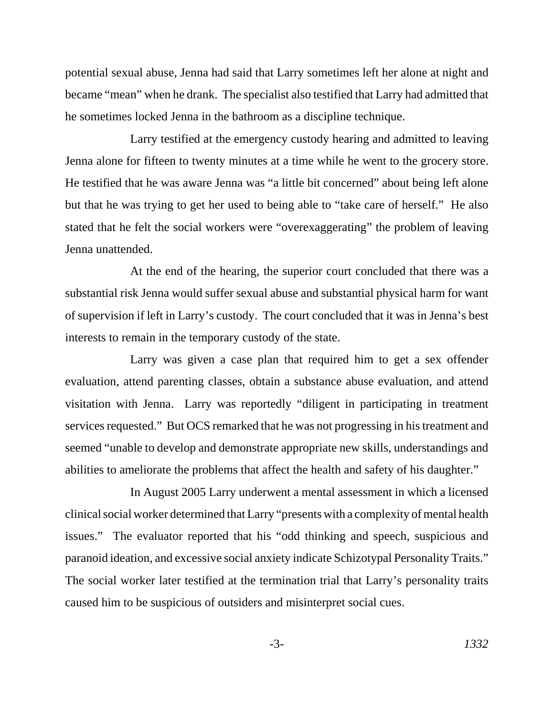potential sexual abuse, Jenna had said that Larry sometimes left her alone at night and became "mean" when he drank. The specialist also testified that Larry had admitted that he sometimes locked Jenna in the bathroom as a discipline technique.

Larry testified at the emergency custody hearing and admitted to leaving Jenna alone for fifteen to twenty minutes at a time while he went to the grocery store. He testified that he was aware Jenna was "a little bit concerned" about being left alone but that he was trying to get her used to being able to "take care of herself." He also stated that he felt the social workers were "overexaggerating" the problem of leaving Jenna unattended.

At the end of the hearing, the superior court concluded that there was a substantial risk Jenna would suffer sexual abuse and substantial physical harm for want of supervision if left in Larry's custody. The court concluded that it was in Jenna's best interests to remain in the temporary custody of the state.

Larry was given a case plan that required him to get a sex offender evaluation, attend parenting classes, obtain a substance abuse evaluation, and attend visitation with Jenna. Larry was reportedly "diligent in participating in treatment services requested." But OCS remarked that he was not progressing in his treatment and seemed "unable to develop and demonstrate appropriate new skills, understandings and abilities to ameliorate the problems that affect the health and safety of his daughter."

In August 2005 Larry underwent a mental assessment in which a licensed clinical social worker determined that Larry "presents with a complexity of mental health issues." The evaluator reported that his "odd thinking and speech, suspicious and paranoid ideation, and excessive social anxiety indicate Schizotypal Personality Traits." The social worker later testified at the termination trial that Larry's personality traits caused him to be suspicious of outsiders and misinterpret social cues.

$$
-3-1332
$$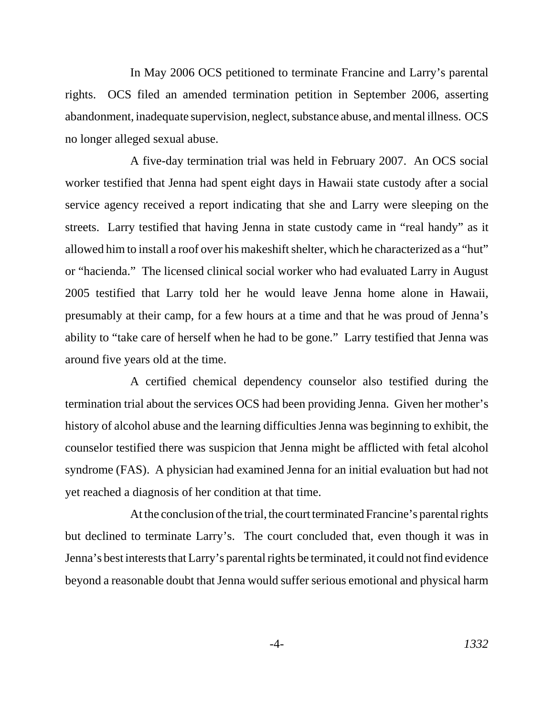In May 2006 OCS petitioned to terminate Francine and Larry's parental rights. OCS filed an amended termination petition in September 2006, asserting abandonment, inadequate supervision, neglect, substance abuse, and mental illness. OCS no longer alleged sexual abuse.

A five-day termination trial was held in February 2007. An OCS social worker testified that Jenna had spent eight days in Hawaii state custody after a social service agency received a report indicating that she and Larry were sleeping on the streets. Larry testified that having Jenna in state custody came in "real handy" as it allowed him to install a roof over his makeshift shelter, which he characterized as a "hut" or "hacienda." The licensed clinical social worker who had evaluated Larry in August 2005 testified that Larry told her he would leave Jenna home alone in Hawaii, presumably at their camp, for a few hours at a time and that he was proud of Jenna's ability to "take care of herself when he had to be gone." Larry testified that Jenna was around five years old at the time.

A certified chemical dependency counselor also testified during the termination trial about the services OCS had been providing Jenna. Given her mother's history of alcohol abuse and the learning difficulties Jenna was beginning to exhibit, the counselor testified there was suspicion that Jenna might be afflicted with fetal alcohol syndrome (FAS). A physician had examined Jenna for an initial evaluation but had not yet reached a diagnosis of her condition at that time.

At the conclusion of the trial, the court terminated Francine's parental rights but declined to terminate Larry's. The court concluded that, even though it was in Jenna's best interests that Larry's parental rights be terminated, it could not find evidence beyond a reasonable doubt that Jenna would suffer serious emotional and physical harm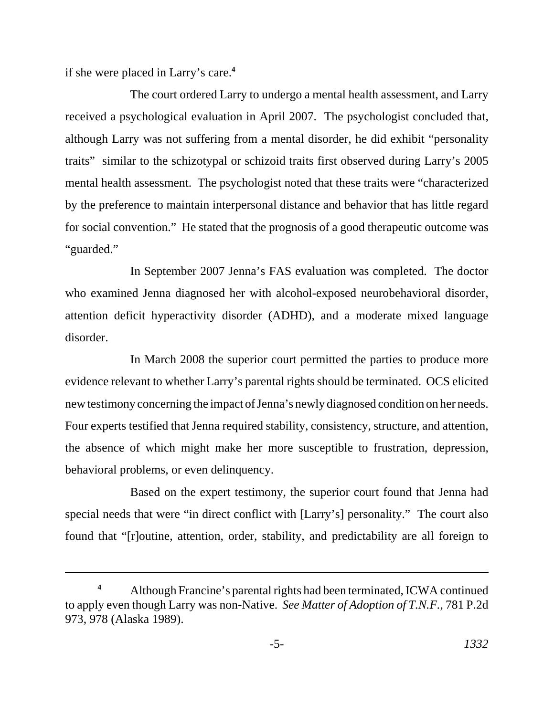if she were placed in Larry's care.**<sup>4</sup>**

The court ordered Larry to undergo a mental health assessment, and Larry received a psychological evaluation in April 2007. The psychologist concluded that, although Larry was not suffering from a mental disorder, he did exhibit "personality traits" similar to the schizotypal or schizoid traits first observed during Larry's 2005 mental health assessment. The psychologist noted that these traits were "characterized by the preference to maintain interpersonal distance and behavior that has little regard for social convention." He stated that the prognosis of a good therapeutic outcome was "guarded."

In September 2007 Jenna's FAS evaluation was completed. The doctor who examined Jenna diagnosed her with alcohol-exposed neurobehavioral disorder, attention deficit hyperactivity disorder (ADHD), and a moderate mixed language disorder.

In March 2008 the superior court permitted the parties to produce more evidence relevant to whether Larry's parental rights should be terminated. OCS elicited new testimony concerning the impact of Jenna's newly diagnosed condition on her needs. Four experts testified that Jenna required stability, consistency, structure, and attention, the absence of which might make her more susceptible to frustration, depression, behavioral problems, or even delinquency.

Based on the expert testimony, the superior court found that Jenna had special needs that were "in direct conflict with [Larry's] personality." The court also found that "[r]outine, attention, order, stability, and predictability are all foreign to

**<sup>4</sup>** Although Francine's parental rights had been terminated, ICWA continued to apply even though Larry was non-Native. *See Matter of Adoption of T.N.F.*, 781 P.2d 973, 978 (Alaska 1989).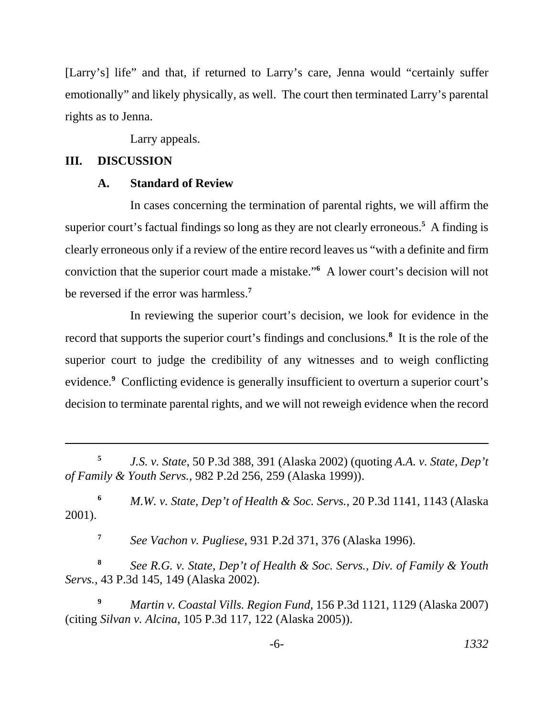[Larry's] life" and that, if returned to Larry's care, Jenna would "certainly suffer emotionally" and likely physically, as well. The court then terminated Larry's parental rights as to Jenna.

Larry appeals.

# **III. DISCUSSION**

#### **A. Standard of Review**

In cases concerning the termination of parental rights, we will affirm the superior court's factual findings so long as they are not clearly erroneous.**<sup>5</sup>** A finding is clearly erroneous only if a review of the entire record leaves us "with a definite and firm conviction that the superior court made a mistake."**<sup>6</sup>** A lower court's decision will not be reversed if the error was harmless.**<sup>7</sup>**

In reviewing the superior court's decision, we look for evidence in the record that supports the superior court's findings and conclusions.**<sup>8</sup>** It is the role of the superior court to judge the credibility of any witnesses and to weigh conflicting evidence.<sup>9</sup> Conflicting evidence is generally insufficient to overturn a superior court's decision to terminate parental rights, and we will not reweigh evidence when the record

**<sup>6</sup>** *M.W. v. State*, *Dep't of Health & Soc. Servs.*, 20 P.3d 1141, 1143 (Alaska 2001).

**<sup>7</sup>** *See Vachon v. Pugliese*, 931 P.2d 371, 376 (Alaska 1996).

**<sup>8</sup>** *See R.G. v. State, Dep't of Health & Soc. Servs., Div. of Family & Youth Servs.*, 43 P.3d 145, 149 (Alaska 2002).

**<sup>9</sup>** *Martin v. Coastal Vills. Region Fund*, 156 P.3d 1121, 1129 (Alaska 2007) (citing *Silvan v. Alcina*, 105 P.3d 117, 122 (Alaska 2005)).

**<sup>5</sup>** *J.S. v. State*, 50 P.3d 388, 391 (Alaska 2002) (quoting *A.A. v. State, Dep't of Family & Youth Servs.*, 982 P.2d 256, 259 (Alaska 1999)).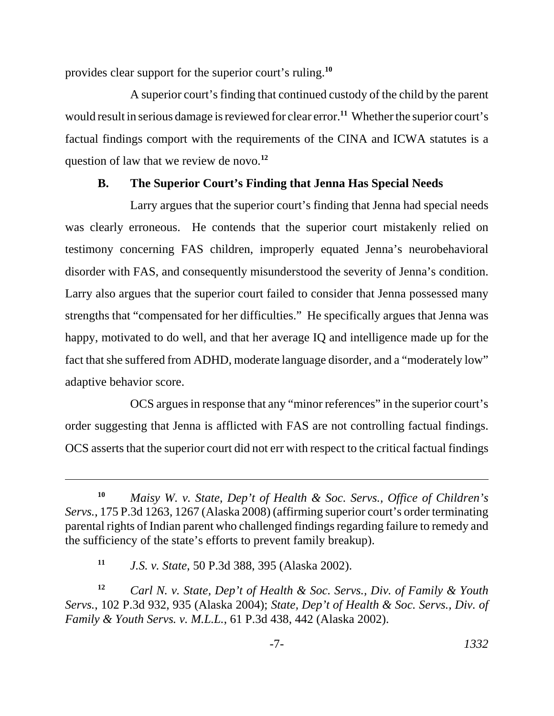provides clear support for the superior court's ruling.**<sup>10</sup>**

A superior court's finding that continued custody of the child by the parent would result in serious damage is reviewed for clear error.**<sup>11</sup>** Whether the superior court's factual findings comport with the requirements of the CINA and ICWA statutes is a question of law that we review de novo.**<sup>12</sup>**

# **B. The Superior Court's Finding that Jenna Has Special Needs**

Larry argues that the superior court's finding that Jenna had special needs was clearly erroneous. He contends that the superior court mistakenly relied on testimony concerning FAS children, improperly equated Jenna's neurobehavioral disorder with FAS, and consequently misunderstood the severity of Jenna's condition. Larry also argues that the superior court failed to consider that Jenna possessed many strengths that "compensated for her difficulties." He specifically argues that Jenna was happy, motivated to do well, and that her average IQ and intelligence made up for the fact that she suffered from ADHD, moderate language disorder, and a "moderately low" adaptive behavior score.

OCS argues in response that any "minor references" in the superior court's order suggesting that Jenna is afflicted with FAS are not controlling factual findings. OCS asserts that the superior court did not err with respect to the critical factual findings

**<sup>10</sup>** *Maisy W. v. State, Dep't of Health & Soc. Servs., Office of Children's Servs.*, 175 P.3d 1263, 1267 (Alaska 2008) (affirming superior court's order terminating parental rights of Indian parent who challenged findings regarding failure to remedy and the sufficiency of the state's efforts to prevent family breakup).

**<sup>11</sup>** *J.S. v. State*, 50 P.3d 388, 395 (Alaska 2002).

**<sup>12</sup>** *Carl N. v. State, Dep't of Health & Soc. Servs., Div. of Family & Youth Servs.*, 102 P.3d 932, 935 (Alaska 2004); *State, Dep't of Health & Soc. Servs., Div. of Family & Youth Servs. v. M.L.L.*, 61 P.3d 438, 442 (Alaska 2002).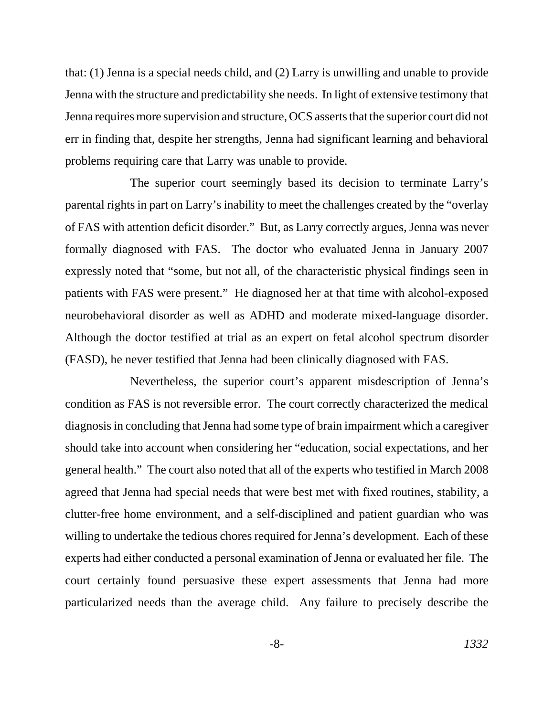that: (1) Jenna is a special needs child, and (2) Larry is unwilling and unable to provide Jenna with the structure and predictability she needs. In light of extensive testimony that Jenna requires more supervision and structure, OCS asserts that the superior court did not err in finding that, despite her strengths, Jenna had significant learning and behavioral problems requiring care that Larry was unable to provide.

The superior court seemingly based its decision to terminate Larry's parental rights in part on Larry's inability to meet the challenges created by the "overlay of FAS with attention deficit disorder." But, as Larry correctly argues, Jenna was never formally diagnosed with FAS. The doctor who evaluated Jenna in January 2007 expressly noted that "some, but not all, of the characteristic physical findings seen in patients with FAS were present." He diagnosed her at that time with alcohol-exposed neurobehavioral disorder as well as ADHD and moderate mixed-language disorder. Although the doctor testified at trial as an expert on fetal alcohol spectrum disorder (FASD), he never testified that Jenna had been clinically diagnosed with FAS.

Nevertheless, the superior court's apparent misdescription of Jenna's condition as FAS is not reversible error. The court correctly characterized the medical diagnosis in concluding that Jenna had some type of brain impairment which a caregiver should take into account when considering her "education, social expectations, and her general health." The court also noted that all of the experts who testified in March 2008 agreed that Jenna had special needs that were best met with fixed routines, stability, a clutter-free home environment, and a self-disciplined and patient guardian who was willing to undertake the tedious chores required for Jenna's development. Each of these experts had either conducted a personal examination of Jenna or evaluated her file. The court certainly found persuasive these expert assessments that Jenna had more particularized needs than the average child. Any failure to precisely describe the

-8- *1332*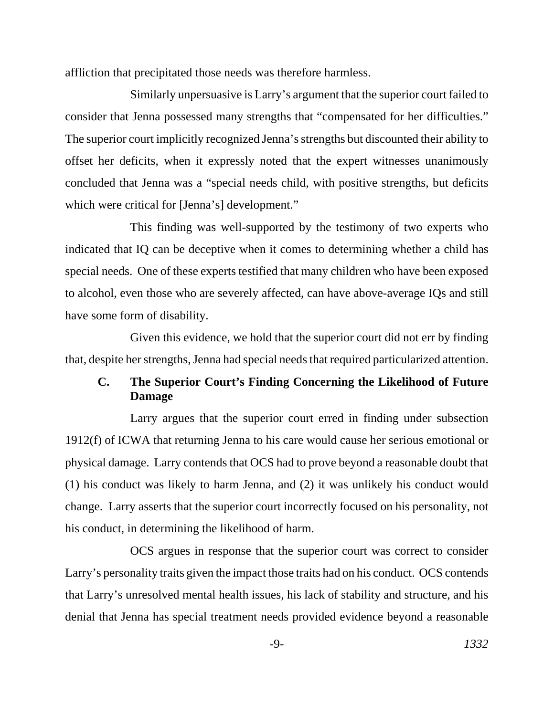affliction that precipitated those needs was therefore harmless.

Similarly unpersuasive is Larry's argument that the superior court failed to consider that Jenna possessed many strengths that "compensated for her difficulties." The superior court implicitly recognized Jenna's strengths but discounted their ability to offset her deficits, when it expressly noted that the expert witnesses unanimously concluded that Jenna was a "special needs child, with positive strengths, but deficits which were critical for [Jenna's] development."

This finding was well-supported by the testimony of two experts who indicated that IQ can be deceptive when it comes to determining whether a child has special needs. One of these experts testified that many children who have been exposed to alcohol, even those who are severely affected, can have above-average IQs and still have some form of disability.

Given this evidence, we hold that the superior court did not err by finding that, despite her strengths, Jenna had special needs that required particularized attention.

# **C. The Superior Court's Finding Concerning the Likelihood of Future Damage**

Larry argues that the superior court erred in finding under subsection 1912(f) of ICWA that returning Jenna to his care would cause her serious emotional or physical damage. Larry contends that OCS had to prove beyond a reasonable doubt that (1) his conduct was likely to harm Jenna, and (2) it was unlikely his conduct would change. Larry asserts that the superior court incorrectly focused on his personality, not his conduct, in determining the likelihood of harm.

OCS argues in response that the superior court was correct to consider Larry's personality traits given the impact those traits had on his conduct. OCS contends that Larry's unresolved mental health issues, his lack of stability and structure, and his denial that Jenna has special treatment needs provided evidence beyond a reasonable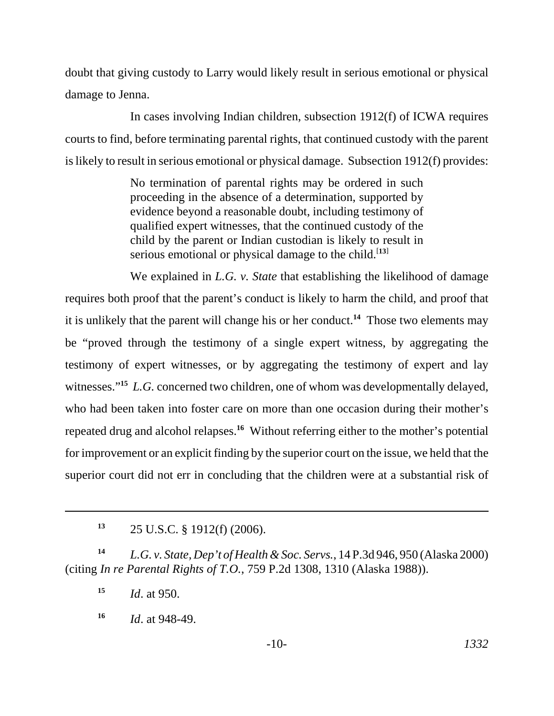doubt that giving custody to Larry would likely result in serious emotional or physical damage to Jenna.

In cases involving Indian children, subsection 1912(f) of ICWA requires courts to find, before terminating parental rights, that continued custody with the parent is likely to result in serious emotional or physical damage. Subsection 1912(f) provides:

> No termination of parental rights may be ordered in such proceeding in the absence of a determination, supported by evidence beyond a reasonable doubt, including testimony of qualified expert witnesses, that the continued custody of the child by the parent or Indian custodian is likely to result in serious emotional or physical damage to the child.<sup>[13]</sup>

We explained in *L.G. v. State* that establishing the likelihood of damage requires both proof that the parent's conduct is likely to harm the child, and proof that it is unlikely that the parent will change his or her conduct.**<sup>14</sup>** Those two elements may be "proved through the testimony of a single expert witness, by aggregating the testimony of expert witnesses, or by aggregating the testimony of expert and lay witnesses."<sup>15</sup> *L.G.* concerned two children, one of whom was developmentally delayed, who had been taken into foster care on more than one occasion during their mother's repeated drug and alcohol relapses.**<sup>16</sup>** Without referring either to the mother's potential for improvement or an explicit finding by the superior court on the issue, we held that the superior court did not err in concluding that the children were at a substantial risk of

**<sup>14</sup>** *L.G. v. State, Dep't of Health & Soc. Servs.*, 14 P.3d 946, 950 (Alaska 2000) (citing *In re Parental Rights of T.O.*, 759 P.2d 1308, 1310 (Alaska 1988)).

**<sup>15</sup>** *Id*. at 950.

**<sup>16</sup>** *Id*. at 948-49.

**<sup>13</sup>** 25 U.S.C. § 1912(f) (2006).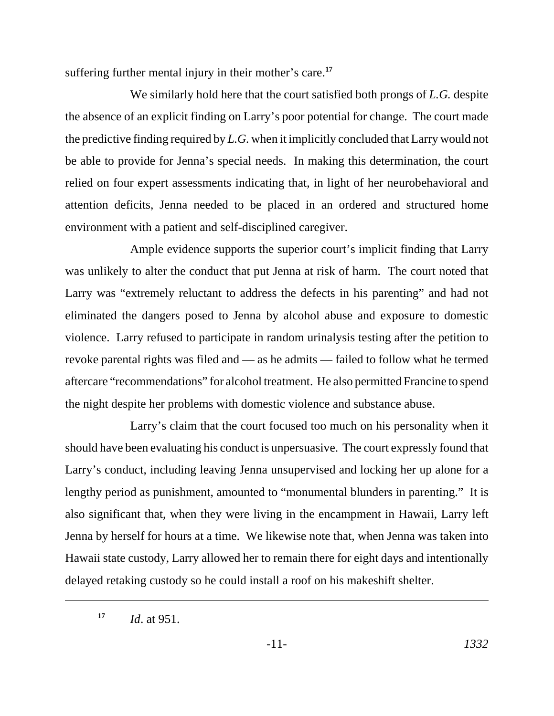suffering further mental injury in their mother's care.**<sup>17</sup>**

We similarly hold here that the court satisfied both prongs of *L.G.* despite the absence of an explicit finding on Larry's poor potential for change. The court made the predictive finding required by *L.G.* when it implicitly concluded that Larry would not be able to provide for Jenna's special needs. In making this determination, the court relied on four expert assessments indicating that, in light of her neurobehavioral and attention deficits, Jenna needed to be placed in an ordered and structured home environment with a patient and self-disciplined caregiver.

Ample evidence supports the superior court's implicit finding that Larry was unlikely to alter the conduct that put Jenna at risk of harm. The court noted that Larry was "extremely reluctant to address the defects in his parenting" and had not eliminated the dangers posed to Jenna by alcohol abuse and exposure to domestic violence. Larry refused to participate in random urinalysis testing after the petition to revoke parental rights was filed and — as he admits — failed to follow what he termed aftercare "recommendations" for alcohol treatment. He also permitted Francine to spend the night despite her problems with domestic violence and substance abuse.

Larry's claim that the court focused too much on his personality when it should have been evaluating his conduct is unpersuasive. The court expressly found that Larry's conduct, including leaving Jenna unsupervised and locking her up alone for a lengthy period as punishment, amounted to "monumental blunders in parenting." It is also significant that, when they were living in the encampment in Hawaii, Larry left Jenna by herself for hours at a time. We likewise note that, when Jenna was taken into Hawaii state custody, Larry allowed her to remain there for eight days and intentionally delayed retaking custody so he could install a roof on his makeshift shelter.

**<sup>17</sup>** *Id*. at 951.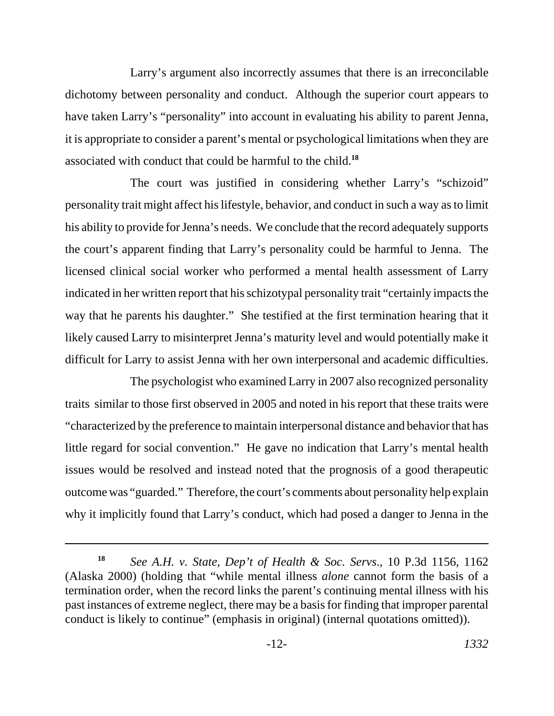Larry's argument also incorrectly assumes that there is an irreconcilable dichotomy between personality and conduct. Although the superior court appears to have taken Larry's "personality" into account in evaluating his ability to parent Jenna, it is appropriate to consider a parent's mental or psychological limitations when they are associated with conduct that could be harmful to the child.**<sup>18</sup>**

The court was justified in considering whether Larry's "schizoid" personality trait might affect his lifestyle, behavior, and conduct in such a way as to limit his ability to provide for Jenna's needs. We conclude that the record adequately supports the court's apparent finding that Larry's personality could be harmful to Jenna. The licensed clinical social worker who performed a mental health assessment of Larry indicated in her written report that his schizotypal personality trait "certainly impacts the way that he parents his daughter." She testified at the first termination hearing that it likely caused Larry to misinterpret Jenna's maturity level and would potentially make it difficult for Larry to assist Jenna with her own interpersonal and academic difficulties.

The psychologist who examined Larry in 2007 also recognized personality traits similar to those first observed in 2005 and noted in his report that these traits were "characterized by the preference to maintain interpersonal distance and behavior that has little regard for social convention." He gave no indication that Larry's mental health issues would be resolved and instead noted that the prognosis of a good therapeutic outcome was "guarded." Therefore, the court's comments about personality help explain why it implicitly found that Larry's conduct, which had posed a danger to Jenna in the

**<sup>18</sup>** *See A.H. v. State, Dep't of Health & Soc. Servs*., 10 P.3d 1156, 1162 (Alaska 2000) (holding that "while mental illness *alone* cannot form the basis of a termination order, when the record links the parent's continuing mental illness with his past instances of extreme neglect, there may be a basis for finding that improper parental conduct is likely to continue" (emphasis in original) (internal quotations omitted)).